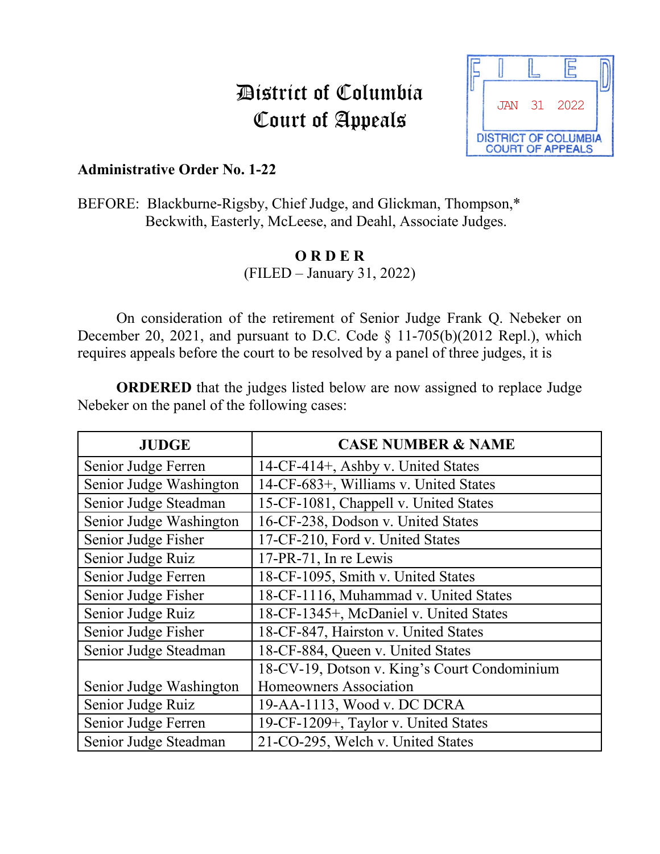## District of Columbia Court of Appeals



## **Administrative Order No. 1-22**

BEFORE: Blackburne-Rigsby, Chief Judge, and Glickman, Thompson,\* Beckwith, Easterly, McLeese, and Deahl, Associate Judges.

## **O R D E R**

(FILED – January 31, 2022)

On consideration of the retirement of Senior Judge Frank Q. Nebeker on December 20, 2021, and pursuant to D.C. Code § 11-705(b)(2012 Repl.), which requires appeals before the court to be resolved by a panel of three judges, it is

**ORDERED** that the judges listed below are now assigned to replace Judge Nebeker on the panel of the following cases:

| <b>JUDGE</b>            | <b>CASE NUMBER &amp; NAME</b>                |
|-------------------------|----------------------------------------------|
| Senior Judge Ferren     | 14-CF-414+, Ashby v. United States           |
| Senior Judge Washington | 14-CF-683+, Williams v. United States        |
| Senior Judge Steadman   | 15-CF-1081, Chappell v. United States        |
| Senior Judge Washington | 16-CF-238, Dodson v. United States           |
| Senior Judge Fisher     | 17-CF-210, Ford v. United States             |
| Senior Judge Ruiz       | 17-PR-71, In re Lewis                        |
| Senior Judge Ferren     | 18-CF-1095, Smith v. United States           |
| Senior Judge Fisher     | 18-CF-1116, Muhammad v. United States        |
| Senior Judge Ruiz       | 18-CF-1345+, McDaniel v. United States       |
| Senior Judge Fisher     | 18-CF-847, Hairston v. United States         |
| Senior Judge Steadman   | 18-CF-884, Queen v. United States            |
|                         | 18-CV-19, Dotson v. King's Court Condominium |
| Senior Judge Washington | Homeowners Association                       |
| Senior Judge Ruiz       | 19-AA-1113, Wood v. DC DCRA                  |
| Senior Judge Ferren     | 19-CF-1209+, Taylor v. United States         |
| Senior Judge Steadman   | 21-CO-295, Welch v. United States            |